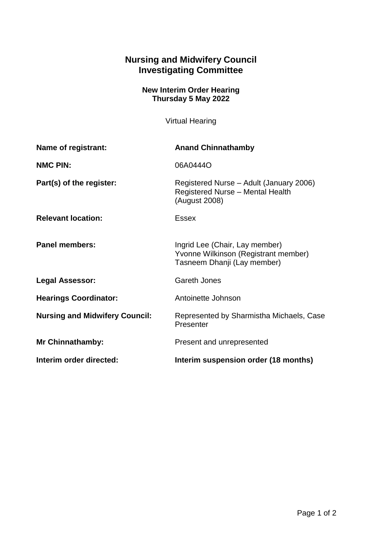## **Nursing and Midwifery Council Investigating Committee**

## **New Interim Order Hearing Thursday 5 May 2022**

Virtual Hearing

| Name of registrant:                   | <b>Anand Chinnathamby</b>                                                                             |
|---------------------------------------|-------------------------------------------------------------------------------------------------------|
| <b>NMC PIN:</b>                       | 06A0444O                                                                                              |
| Part(s) of the register:              | Registered Nurse - Adult (January 2006)<br><b>Registered Nurse - Mental Health</b><br>(August 2008)   |
| <b>Relevant location:</b>             | <b>Essex</b>                                                                                          |
| <b>Panel members:</b>                 | Ingrid Lee (Chair, Lay member)<br>Yvonne Wilkinson (Registrant member)<br>Tasneem Dhanji (Lay member) |
| <b>Legal Assessor:</b>                | <b>Gareth Jones</b>                                                                                   |
| <b>Hearings Coordinator:</b>          | Antoinette Johnson                                                                                    |
| <b>Nursing and Midwifery Council:</b> | Represented by Sharmistha Michaels, Case<br>Presenter                                                 |
| <b>Mr Chinnathamby:</b>               | Present and unrepresented                                                                             |
| Interim order directed:               | Interim suspension order (18 months)                                                                  |